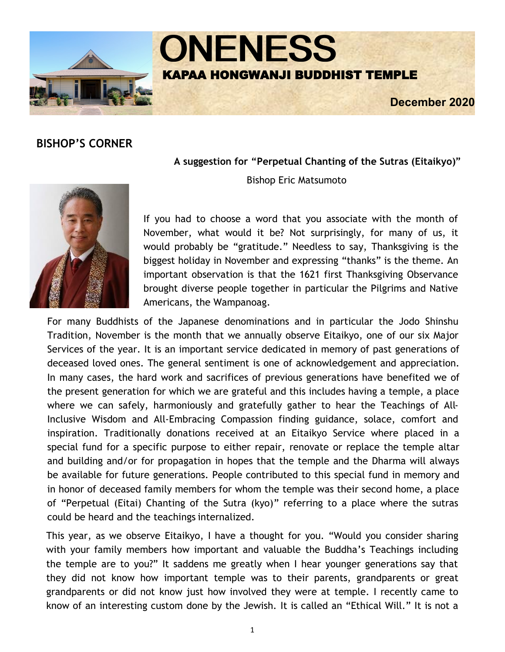



**December 2020** 

# **BISHOP'S CORNER**

**A suggestion for "Perpetual Chanting of the Sutras (Eitaikyo)"**

Bishop Eric Matsumoto



If you had to choose a word that you associate with the month of November, what would it be? Not surprisingly, for many of us, it would probably be "gratitude." Needless to say, Thanksgiving is the biggest holiday in November and expressing "thanks" is the theme. An important observation is that the 1621 first Thanksgiving Observance brought diverse people together in particular the Pilgrims and Native Americans, the Wampanoag.

For many Buddhists of the Japanese denominations and in particular the Jodo Shinshu Tradition, November is the month that we annually observe Eitaikyo, one of our six Major Services of the year. It is an important service dedicated in memory of past generations of deceased loved ones. The general sentiment is one of acknowledgement and appreciation. In many cases, the hard work and sacrifices of previous generations have benefited we of the present generation for which we are grateful and this includes having a temple, a place where we can safely, harmoniously and gratefully gather to hear the Teachings of All-Inclusive Wisdom and All-Embracing Compassion finding guidance, solace, comfort and inspiration. Traditionally donations received at an Eitaikyo Service where placed in a special fund for a specific purpose to either repair, renovate or replace the temple altar and building and/or for propagation in hopes that the temple and the Dharma will always be available for future generations. People contributed to this special fund in memory and in honor of deceased family members for whom the temple was their second home, a place of "Perpetual (Eitai) Chanting of the Sutra (kyo)" referring to a place where the sutras could be heard and the teachings internalized.

This year, as we observe Eitaikyo, I have a thought for you. "Would you consider sharing with your family members how important and valuable the Buddha's Teachings including the temple are to you?" It saddens me greatly when I hear younger generations say that they did not know how important temple was to their parents, grandparents or great grandparents or did not know just how involved they were at temple. I recently came to know of an interesting custom done by the Jewish. It is called an "Ethical Will." It is not a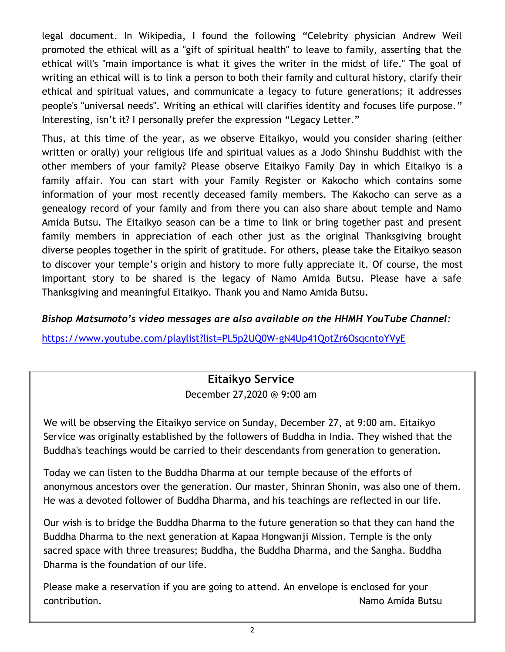legal document. In Wikipedia, I found the following "Celebrity physician Andrew Weil promoted the ethical will as a "gift of spiritual health" to leave to family, asserting that the ethical will's "main importance is what it gives the writer in the midst of life." The goal of writing an ethical will is to link a person to both their family and cultural history, clarify their ethical and spiritual values, and communicate a legacy to future generations; it addresses people's "universal needs". Writing an ethical will clarifies identity and focuses life purpose." Interesting, isn't it? I personally prefer the expression "Legacy Letter."

Thus, at this time of the year, as we observe Eitaikyo, would you consider sharing (either written or orally) your religious life and spiritual values as a Jodo Shinshu Buddhist with the other members of your family? Please observe Eitaikyo Family Day in which Eitaikyo is a family affair. You can start with your Family Register or Kakocho which contains some information of your most recently deceased family members. The Kakocho can serve as a genealogy record of your family and from there you can also share about temple and Namo Amida Butsu. The Eitaikyo season can be a time to link or bring together past and present family members in appreciation of each other just as the original Thanksgiving brought diverse peoples together in the spirit of gratitude. For others, please take the Eitaikyo season to discover your temple's origin and history to more fully appreciate it. Of course, the most important story to be shared is the legacy of Namo Amida Butsu. Please have a safe Thanksgiving and meaningful Eitaikyo. Thank you and Namo Amida Butsu.

### *Bishop Matsumoto's video messages are also available on the HHMH YouTube Channel:*

[https://www.youtube.com/playlist?list=PL5p2UQ0W](https://www.youtube.com/playlist?list=PL5p2UQ0W-gN4Up41QotZr6OsqcntoYVyE)-gN4Up41QotZr6OsqcntoYVyE

# **Eitaikyo Service**

December 27,2020 @ 9:00 am

We will be observing the Eitaikyo service on Sunday, December 27, at 9:00 am. Eitaikyo Service was originally established by the followers of Buddha in India. They wished that the Buddha's teachings would be carried to their descendants from generation to generation.

Today we can listen to the Buddha Dharma at our temple because of the efforts of anonymous ancestors over the generation. Our master, Shinran Shonin, was also one of them. He was a devoted follower of Buddha Dharma, and his teachings are reflected in our life.

Our wish is to bridge the Buddha Dharma to the future generation so that they can hand the Buddha Dharma to the next generation at Kapaa Hongwanji Mission. Temple is the only sacred space with three treasures; Buddha, the Buddha Dharma, and the Sangha. Buddha Dharma is the foundation of our life.

Please make a reservation if you are going to attend. An envelope is enclosed for your contribution. Namo Amida Butsu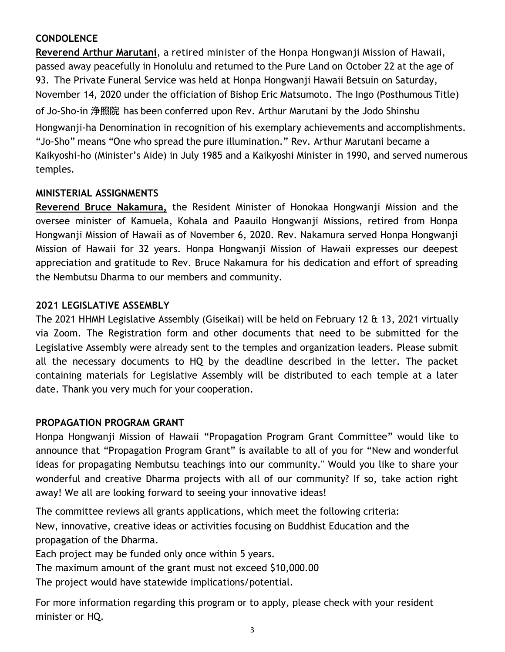# **CONDOLENCE**

**Reverend Arthur Marutani**, a retired minister of the Honpa Hongwanji Mission of Hawaii, passed away peacefully in Honolulu and returned to the Pure Land on October 22 at the age of 93. The Private Funeral Service was held at Honpa Hongwanji Hawaii Betsuin on Saturday, November 14, 2020 under the officiation of Bishop Eric Matsumoto. The Ingo (Posthumous Title) of Jo-Sho-in 浄照院 has been conferred upon Rev. Arthur Marutani by the Jodo Shinshu Hongwanji-ha Denomination in recognition of his exemplary achievements and accomplishments. "Jo-Sho" means "One who spread the pure illumination." Rev. Arthur Marutani became a Kaikyoshi-ho (Minister's Aide) in July 1985 and a Kaikyoshi Minister in 1990, and served numerous temples.

### **MINISTERIAL ASSIGNMENTS**

**Reverend Bruce Nakamura,** the Resident Minister of Honokaa Hongwanji Mission and the oversee minister of Kamuela, Kohala and Paauilo Hongwanji Missions, retired from Honpa Hongwanji Mission of Hawaii as of November 6, 2020. Rev. Nakamura served Honpa Hongwanji Mission of Hawaii for 32 years. Honpa Hongwanji Mission of Hawaii expresses our deepest appreciation and gratitude to Rev. Bruce Nakamura for his dedication and effort of spreading the Nembutsu Dharma to our members and community.

# **2021 LEGISLATIVE ASSEMBLY**

The 2021 HHMH Legislative Assembly (Giseikai) will be held on February 12 & 13, 2021 virtually via Zoom. The Registration form and other documents that need to be submitted for the Legislative Assembly were already sent to the temples and organization leaders. Please submit all the necessary documents to HQ by the deadline described in the letter. The packet containing materials for Legislative Assembly will be distributed to each temple at a later date. Thank you very much for your cooperation.

### **PROPAGATION PROGRAM GRANT**

Honpa Hongwanji Mission of Hawaii "Propagation Program Grant Committee" would like to announce that "Propagation Program Grant" is available to all of you for "New and wonderful ideas for propagating Nembutsu teachings into our community." Would you like to share your wonderful and creative Dharma projects with all of our community? If so, take action right away! We all are looking forward to seeing your innovative ideas!

The committee reviews all grants applications, which meet the following criteria: New, innovative, creative ideas or activities focusing on Buddhist Education and the propagation of the Dharma.

Each project may be funded only once within 5 years.

The maximum amount of the grant must not exceed \$10,000.00

The project would have statewide implications/potential.

For more information regarding this program or to apply, please check with your resident minister or HQ.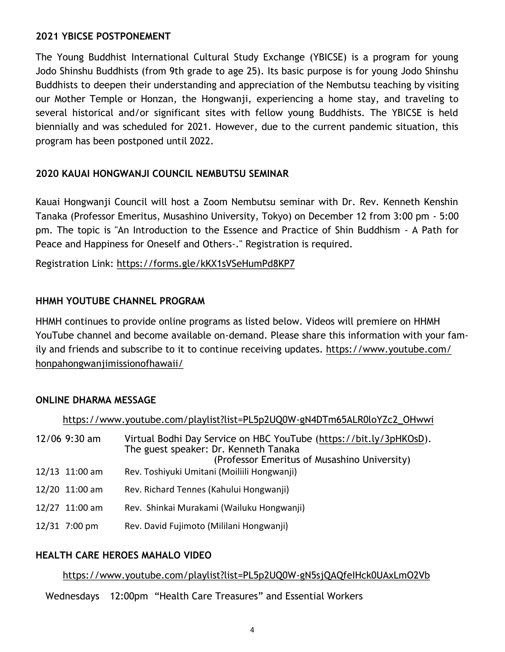#### **2021 YBICSE POSTPONEMENT**

The Young Buddhist International Cultural Study Exchange (YBICSE) is a program for young Jodo Shinshu Buddhists (from 9th grade to age 25). Its basic purpose is for young Jodo Shinshu Buddhists to deepen their understanding and appreciation of the Nembutsu teaching by visiting our Mother Temple or Honzan, the Hongwanji, experiencing a home stay, and traveling to several historical and/or significant sites with fellow young Buddhists. The YBICSE is held biennially and was scheduled for 2021. However, due to the current pandemic situation, this program has been postponed until 2022.

### **2020 KAUAI HONGWANJI COUNCIL NEMBUTSU SEMINAR**

Kauai Hongwanji Council will host a Zoom Nembutsu seminar with Dr. Rev. Kenneth Kenshin Tanaka (Professor Emeritus, Musashino University, Tokyo) on December 12 from 3:00 pm - 5:00 pm. The topic is "An Introduction to the Essence and Practice of Shin Buddhism - A Path for Peace and Happiness for Oneself and Others-." Registration is required.

Registration Link: <https://forms.gle/kKX1sVSeHumPd8KP7>

#### **HHMH YOUTUBE CHANNEL PROGRAM**

HHMH continues to provide online programs as listed below. Videos will premiere on HHMH YouTube channel and become available on-demand. Please share this information with your family and friends and subscribe to it to continue receiving updates. [https://www.youtube.com/](https://www.youtube.com/honpahongwanjimissionofhawaii/) [honpahongwanjimissionofhawaii/](https://www.youtube.com/honpahongwanjimissionofhawaii/)

#### **ONLINE DHARMA MESSAGE**

|                 | https://www.youtube.com/playlist?list=PL5p2UQ0W-gN4DTm65ALR0loYZc2_OHwwi                                                                                    |
|-----------------|-------------------------------------------------------------------------------------------------------------------------------------------------------------|
| $12/06$ 9:30 am | Virtual Bodhi Day Service on HBC YouTube (https://bit.ly/3pHKOsD).<br>The guest speaker: Dr. Kenneth Tanaka<br>(Professor Emeritus of Musashino University) |
| 12/13 11:00 am  | Rev. Toshiyuki Umitani (Moiliili Hongwanji)                                                                                                                 |
| 12/20 11:00 am  | Rev. Richard Tennes (Kahului Hongwanji)                                                                                                                     |
| 12/27 11:00 am  | Rev. Shinkai Murakami (Wailuku Hongwanji)                                                                                                                   |
| 12/31 7:00 pm   | Rev. David Fujimoto (Mililani Hongwanji)                                                                                                                    |
|                 |                                                                                                                                                             |

### **HEALTH CARE HEROES MAHALO VIDEO**

#### [https://www.youtube.com/playlist?list=PL5p2UQ0W](https://www.youtube.com/playlist?list=PL5p2UQ0W-gN5sjQAQfeIHck0UAxLmO2Vb)-gN5sjQAQfeIHck0UAxLmO2Vb

Wednesdays 12:00pm "Health Care Treasures" and Essential Workers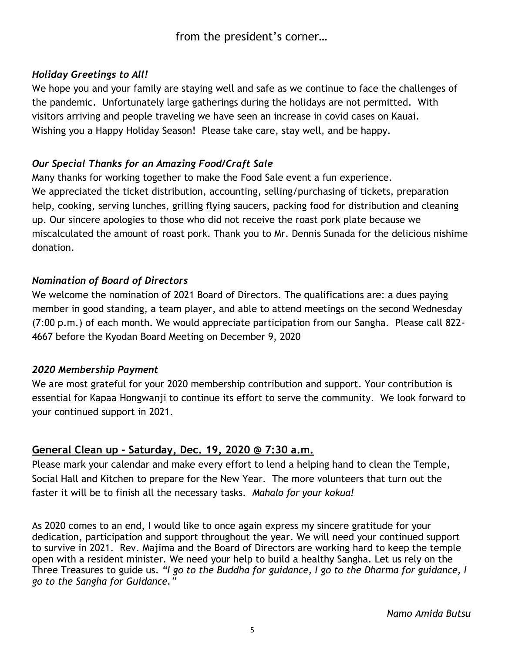# *Holiday Greetings to All!*

We hope you and your family are staying well and safe as we continue to face the challenges of the pandemic. Unfortunately large gatherings during the holidays are not permitted. With visitors arriving and people traveling we have seen an increase in covid cases on Kauai. Wishing you a Happy Holiday Season! Please take care, stay well, and be happy.

### *Our Special Thanks for an Amazing Food/Craft Sale*

Many thanks for working together to make the Food Sale event a fun experience. We appreciated the ticket distribution, accounting, selling/purchasing of tickets, preparation help, cooking, serving lunches, grilling flying saucers, packing food for distribution and cleaning up. Our sincere apologies to those who did not receive the roast pork plate because we miscalculated the amount of roast pork. Thank you to Mr. Dennis Sunada for the delicious nishime donation.

# *Nomination of Board of Directors*

We welcome the nomination of 2021 Board of Directors. The qualifications are: a dues paying member in good standing, a team player, and able to attend meetings on the second Wednesday (7:00 p.m.) of each month. We would appreciate participation from our Sangha. Please call 822- 4667 before the Kyodan Board Meeting on December 9, 2020

### *2020 Membership Payment*

We are most grateful for your 2020 membership contribution and support. Your contribution is essential for Kapaa Hongwanji to continue its effort to serve the community. We look forward to your continued support in 2021.

# **General Clean up – Saturday, Dec. 19, 2020 @ 7:30 a.m.**

Please mark your calendar and make every effort to lend a helping hand to clean the Temple, Social Hall and Kitchen to prepare for the New Year. The more volunteers that turn out the faster it will be to finish all the necessary tasks*. Mahalo for your kokua!*

As 2020 comes to an end, I would like to once again express my sincere gratitude for your dedication, participation and support throughout the year. We will need your continued support to survive in 2021. Rev. Majima and the Board of Directors are working hard to keep the temple open with a resident minister. We need your help to build a healthy Sangha. Let us rely on the Three Treasures to guide us. *"I go to the Buddha for guidance, I go to the Dharma for guidance, I go to the Sangha for Guidance."*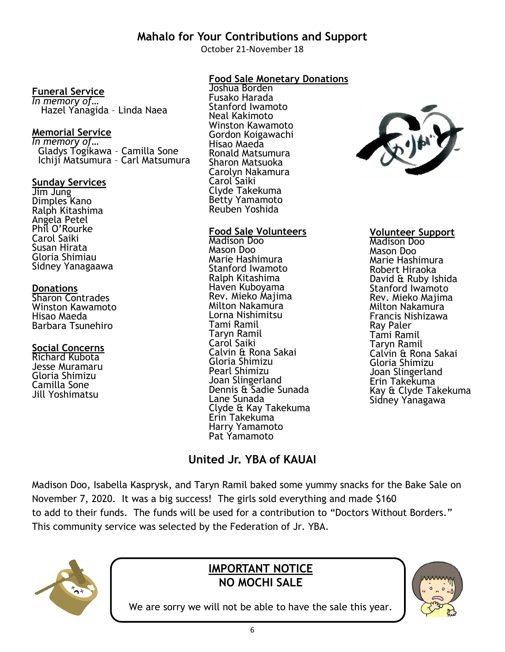# **Mahalo for Your Contributions and Support**

October 21-November 18

### **Funeral Service**

*In memory of…* Hazel Yanagida – Linda Naea

#### **Memorial Service**

*In memory of…* Gladys Togikawa – Camilla Sone Ichiji Matsumura – Carl Matsumura

#### **Sunday Services**

Jim Jung Dimples Kano Ralph Kitashima Angela Petel Phil O'Rourke Carol Saiki Susan Hirata Gloria Shimiau Sidney Yanagaawa

#### **Donations**

Sharon Contrades Winston Kawamoto Hisao Maeda Barbara Tsunehiro

### **Social Concerns**

Richard Kubota Jesse Muramaru Gloria Shimizu Camilla Sone Jill Yoshimatsu

# **Food Sale Monetary Donations**

Joshua Borden Fusako Harada Stanford Iwamoto Neal Kakimoto Winston Kawamoto Gordon Koigawachi Hisao Maeda Ronald Matsumura Sharon Matsuoka Carolyn Nakamura Carol Saiki Clyde Takekuma Betty Yamamoto Reuben Yoshida

#### **Food Sale Volunteers**

Madison Doo Mason Doo Marie Hashimura Stanford Iwamoto Ralph Kitashima Haven Kuboyama Rev. Mieko Majima Milton Nakamura Lorna Nishimitsu Tami Ramil Taryn Ramil Carol Saiki Calvin & Rona Sakai Gloria Shimizu Pearl Shimizu Joan Slingerland Dennis & Sadie Sunada Lane Sunada Clyde & Kay Takekuma Erin Takekuma Harry Yamamoto Pat Yamamoto



#### **Volunteer Support**

Madison Doo Mason Doo Marie Hashimura Robert Hiraoka David & Ruby Ishida Stanford Iwamoto Rev. Mieko Majima Milton Nakamura Francis Nishizawa Ray Paler Tami Ramil Taryn Ramil Calvin & Rona Sakai Gloria Shimizu Joan Slingerland Erin Takekuma Kay & Clyde Takekuma Sidney Yanagawa

# **United Jr. YBA of KAUAI**

Madison Doo, Isabella Kasprysk, and Taryn Ramil baked some yummy snacks for the Bake Sale on November 7, 2020. It was a big success! The girls sold everything and made \$160 to add to their funds. The funds will be used for a contribution to "Doctors Without Borders." This community service was selected by the Federation of Jr. YBA.



# **IMPORTANT NOTICE NO MOCHI SALE**



We are sorry we will not be able to have the sale this year.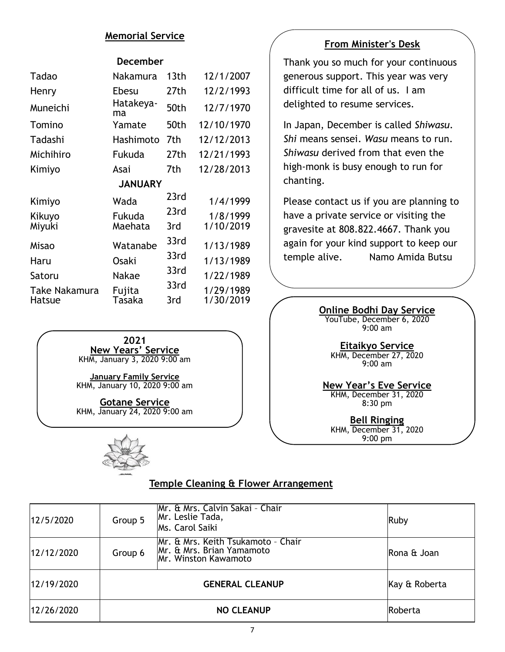#### **Memorial Service**

#### **December**

| Tadao          | Nakamura        | 13th | 12/1/2007  |  |  |  |  |  |
|----------------|-----------------|------|------------|--|--|--|--|--|
| Henry          | Ebesu           | 27th | 12/2/1993  |  |  |  |  |  |
| Muneichi       | Hatakeya-<br>ma | 50th | 12/7/1970  |  |  |  |  |  |
| Tomino         | Yamate          | 50th | 12/10/1970 |  |  |  |  |  |
| Tadashi        | Hashimoto       | 7th  | 12/12/2013 |  |  |  |  |  |
| Michihiro      | Fukuda          | 27th | 12/21/1993 |  |  |  |  |  |
| Kimiyo         | Asai            | 7th  | 12/28/2013 |  |  |  |  |  |
| <b>JANUARY</b> |                 |      |            |  |  |  |  |  |
| Kimiyo         | Wada            | 23rd | 1/4/1999   |  |  |  |  |  |
| Kikuyo         | Fukuda          | 23rd | 1/8/1999   |  |  |  |  |  |
| Miyuki         | Maehata         | 3rd  | 1/10/2019  |  |  |  |  |  |
| Misao          | Watanabe        | 33rd | 1/13/1989  |  |  |  |  |  |
| Haru           | <b>Osaki</b>    | 33rd | 1/13/1989  |  |  |  |  |  |
| Satoru         | Nakae           | 33rd | 1/22/1989  |  |  |  |  |  |
| Take Nakamura  | Fujita          | 33rd | 1/29/1989  |  |  |  |  |  |
| Hatsue         | Tasaka          | 3rd  | 1/30/2019  |  |  |  |  |  |

**2021 New Years' Service** KHM, January 3, 2020 9:00 am

**January Family Service** KHM, January 10, 2020 9:00 am

**Gotane Service** KHM, January 24, 2020 9:00 am



### **Temple Cleaning & Flower Arrangement**

| 12/5/2020  | Group 5 | Mr. & Mrs. Calvin Sakai - Chair<br>Mr. Leslie Tada,<br>Ms. Carol Saiki                         | Ruby          |
|------------|---------|------------------------------------------------------------------------------------------------|---------------|
| 12/12/2020 | Group 6 | Mr. & Mrs. Keith Tsukamoto - Chair<br>Mr. & Mrs. Brian Yamamoto<br><b>Mr. Winston Kawamoto</b> | Rona & Joan   |
| 12/19/2020 |         | <b>GENERAL CLEANUP</b>                                                                         | Kay & Roberta |
| 12/26/2020 |         | Roberta                                                                                        |               |

#### **From Minister's Desk**

Thank you so much for your continuous generous support. This year was very difficult time for all of us. I am delighted to resume services.

In Japan, December is called *Shiwasu*. *Shi* means sensei. *Wasu* means to run. *Shiwasu* derived from that even the high-monk is busy enough to run for chanting.

Please contact us if you are planning to have a private service or visiting the gravesite at 808.822.4667. Thank you again for your kind support to keep our temple alive. Namo Amida Butsu

> **Online Bodhi Day Service** YouTube, December 6, 2020 9:00 am

> > **Eitaikyo Service** KHM, December 27, 2020 9:00 am

**New Year's Eve Service** KHM, December 31, 2020 8:30 pm

**Bell Ringing** KHM, December 31, 2020 9:00 pm